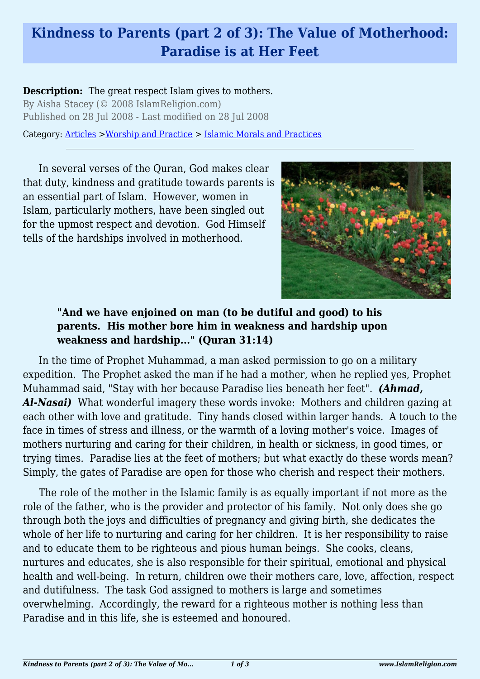# **Kindness to Parents (part 2 of 3): The Value of Motherhood: Paradise is at Her Feet**

# **Description:** The great respect Islam gives to mothers.

By Aisha Stacey (© 2008 IslamReligion.com) Published on 28 Jul 2008 - Last modified on 28 Jul 2008

Category: [Articles](http://www.islamreligion.com/articles/) >[Worship and Practice](http://www.islamreligion.com/category/55/) > [Islamic Morals and Practices](http://www.islamreligion.com/category/58/)

In several verses of the Quran, God makes clear that duty, kindness and gratitude towards parents is an essential part of Islam. However, women in Islam, particularly mothers, have been singled out for the upmost respect and devotion. God Himself tells of the hardships involved in motherhood.



#### **"And we have enjoined on man (to be dutiful and good) to his parents. His mother bore him in weakness and hardship upon weakness and hardship..." (Quran 31:14)**

In the time of Prophet Muhammad, a man asked permission to go on a military expedition. The Prophet asked the man if he had a mother, when he replied yes, Prophet Muhammad said, "Stay with her because Paradise lies beneath her feet". *(Ahmad, Al-Nasai)* What wonderful imagery these words invoke: Mothers and children gazing at each other with love and gratitude. Tiny hands closed within larger hands. A touch to the face in times of stress and illness, or the warmth of a loving mother's voice. Images of mothers nurturing and caring for their children, in health or sickness, in good times, or trying times. Paradise lies at the feet of mothers; but what exactly do these words mean? Simply, the gates of Paradise are open for those who cherish and respect their mothers.

The role of the mother in the Islamic family is as equally important if not more as the role of the father, who is the provider and protector of his family. Not only does she go through both the joys and difficulties of pregnancy and giving birth, she dedicates the whole of her life to nurturing and caring for her children. It is her responsibility to raise and to educate them to be righteous and pious human beings. She cooks, cleans, nurtures and educates, she is also responsible for their spiritual, emotional and physical health and well-being. In return, children owe their mothers care, love, affection, respect and dutifulness. The task God assigned to mothers is large and sometimes overwhelming. Accordingly, the reward for a righteous mother is nothing less than Paradise and in this life, she is esteemed and honoured.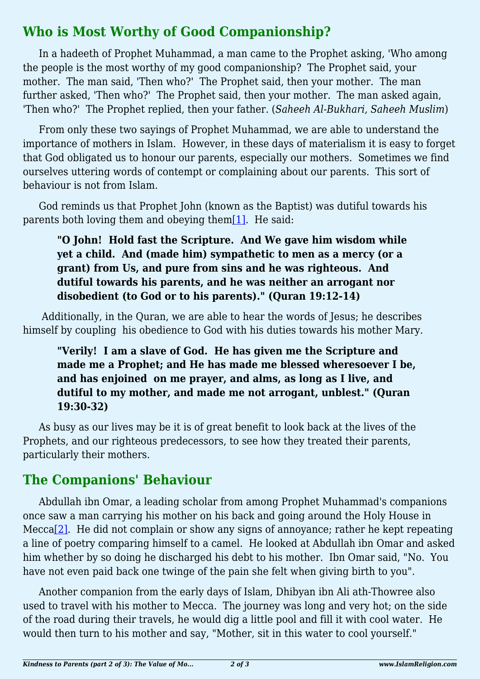### **Who is Most Worthy of Good Companionship?**

In a hadeeth of Prophet Muhammad, a man came to the Prophet asking, 'Who among the people is the most worthy of my good companionship? The Prophet said, your mother. The man said, 'Then who?' The Prophet said, then your mother. The man further asked, 'Then who?' The Prophet said, then your mother. The man asked again, 'Then who?' The Prophet replied, then your father. (*Saheeh Al-Bukhari, Saheeh Muslim*)

From only these two sayings of Prophet Muhammad, we are able to understand the importance of mothers in Islam. However, in these days of materialism it is easy to forget that God obligated us to honour our parents, especially our mothers. Sometimes we find ourselves uttering words of contempt or complaining about our parents. This sort of behaviour is not from Islam.

<span id="page-1-0"></span>God reminds us that Prophet John (known as the Baptist) was dutiful towards his parents both loving them and obeying them $[1]$ . He said:

**"O John! Hold fast the Scripture. And We gave him wisdom while yet a child. And (made him) sympathetic to men as a mercy (or a grant) from Us, and pure from sins and he was righteous. And dutiful towards his parents, and he was neither an arrogant nor disobedient (to God or to his parents)." (Quran 19:12-14)**

 Additionally, in the Quran, we are able to hear the words of Jesus; he describes himself by coupling his obedience to God with his duties towards his mother Mary.

**"Verily! I am a slave of God. He has given me the Scripture and made me a Prophet; and He has made me blessed wheresoever I be, and has enjoined on me prayer, and alms, as long as I live, and dutiful to my mother, and made me not arrogant, unblest." (Quran 19:30-32)**

As busy as our lives may be it is of great benefit to look back at the lives of the Prophets, and our righteous predecessors, to see how they treated their parents, particularly their mothers.

# **The Companions' Behaviour**

<span id="page-1-1"></span>Abdullah ibn Omar, a leading scholar from among Prophet Muhammad's companions once saw a man carrying his mother on his back and going around the Holy House in Mecca $[2]$ . He did not complain or show any signs of annoyance; rather he kept repeating a line of poetry comparing himself to a camel. He looked at Abdullah ibn Omar and asked him whether by so doing he discharged his debt to his mother. Ibn Omar said, "No. You have not even paid back one twinge of the pain she felt when giving birth to you".

Another companion from the early days of Islam, Dhibyan ibn Ali ath-Thowree also used to travel with his mother to Mecca. The journey was long and very hot; on the side of the road during their travels, he would dig a little pool and fill it with cool water. He would then turn to his mother and say, "Mother, sit in this water to cool yourself."